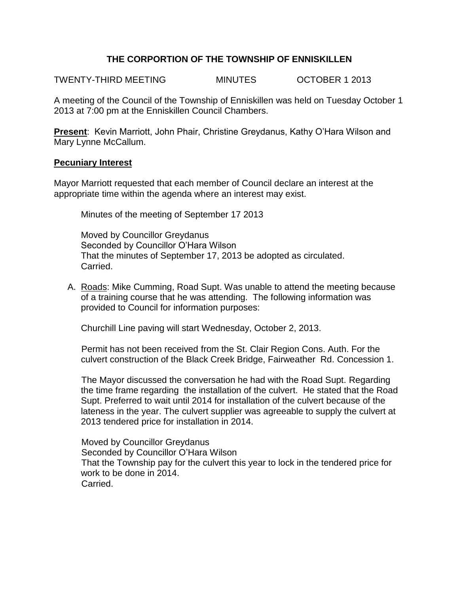## **THE CORPORTION OF THE TOWNSHIP OF ENNISKILLEN**

TWENTY-THIRD MEETING MINUTES OCTOBER 1 2013

A meeting of the Council of the Township of Enniskillen was held on Tuesday October 1 2013 at 7:00 pm at the Enniskillen Council Chambers.

**Present**: Kevin Marriott, John Phair, Christine Greydanus, Kathy O'Hara Wilson and Mary Lynne McCallum.

#### **Pecuniary Interest**

Mayor Marriott requested that each member of Council declare an interest at the appropriate time within the agenda where an interest may exist.

Minutes of the meeting of September 17 2013

Moved by Councillor Greydanus Seconded by Councillor O'Hara Wilson That the minutes of September 17, 2013 be adopted as circulated. Carried.

A. Roads: Mike Cumming, Road Supt. Was unable to attend the meeting because of a training course that he was attending. The following information was provided to Council for information purposes:

Churchill Line paving will start Wednesday, October 2, 2013.

Permit has not been received from the St. Clair Region Cons. Auth. For the culvert construction of the Black Creek Bridge, Fairweather Rd. Concession 1.

The Mayor discussed the conversation he had with the Road Supt. Regarding the time frame regarding the installation of the culvert. He stated that the Road Supt. Preferred to wait until 2014 for installation of the culvert because of the lateness in the year. The culvert supplier was agreeable to supply the culvert at 2013 tendered price for installation in 2014.

Moved by Councillor Greydanus Seconded by Councillor O'Hara Wilson That the Township pay for the culvert this year to lock in the tendered price for work to be done in 2014. Carried.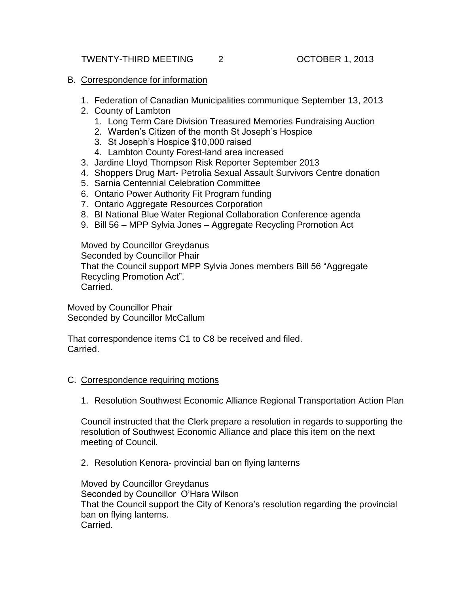#### B. Correspondence for information

- 1. Federation of Canadian Municipalities communique September 13, 2013
- 2. County of Lambton
	- 1. Long Term Care Division Treasured Memories Fundraising Auction
	- 2. Warden's Citizen of the month St Joseph's Hospice
	- 3. St Joseph's Hospice \$10,000 raised
	- 4. Lambton County Forest-land area increased
- 3. Jardine Lloyd Thompson Risk Reporter September 2013
- 4. Shoppers Drug Mart- Petrolia Sexual Assault Survivors Centre donation
- 5. Sarnia Centennial Celebration Committee
- 6. Ontario Power Authority Fit Program funding
- 7. Ontario Aggregate Resources Corporation
- 8. BI National Blue Water Regional Collaboration Conference agenda
- 9. Bill 56 MPP Sylvia Jones Aggregate Recycling Promotion Act

Moved by Councillor Greydanus Seconded by Councillor Phair That the Council support MPP Sylvia Jones members Bill 56 "Aggregate Recycling Promotion Act". Carried.

Moved by Councillor Phair Seconded by Councillor McCallum

That correspondence items C1 to C8 be received and filed. Carried.

### C. Correspondence requiring motions

1. Resolution Southwest Economic Alliance Regional Transportation Action Plan

Council instructed that the Clerk prepare a resolution in regards to supporting the resolution of Southwest Economic Alliance and place this item on the next meeting of Council.

2. Resolution Kenora- provincial ban on flying lanterns

Moved by Councillor Greydanus Seconded by Councillor O'Hara Wilson That the Council support the City of Kenora's resolution regarding the provincial ban on flying lanterns. Carried.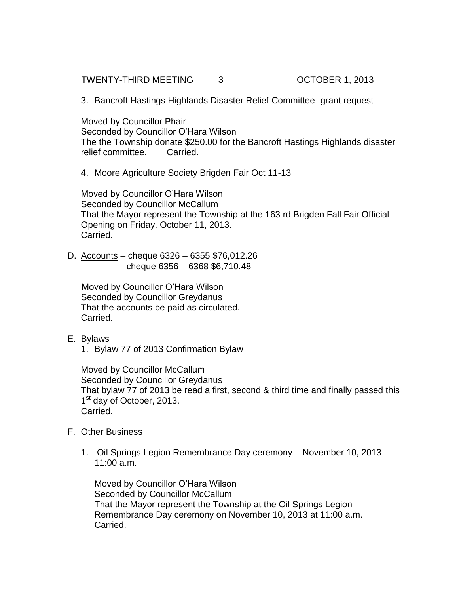TWENTY-THIRD MEETING 3 COTOBER 1, 2013

3. Bancroft Hastings Highlands Disaster Relief Committee- grant request

Moved by Councillor Phair Seconded by Councillor O'Hara Wilson The the Township donate \$250.00 for the Bancroft Hastings Highlands disaster relief committee. Carried.

4. Moore Agriculture Society Brigden Fair Oct 11-13

Moved by Councillor O'Hara Wilson Seconded by Councillor McCallum That the Mayor represent the Township at the 163 rd Brigden Fall Fair Official Opening on Friday, October 11, 2013. Carried.

D. Accounts – cheque 6326 – 6355 \$76,012.26 cheque 6356 – 6368 \$6,710.48

 Moved by Councillor O'Hara Wilson Seconded by Councillor Greydanus That the accounts be paid as circulated. Carried.

- E. Bylaws
	- 1. Bylaw 77 of 2013 Confirmation Bylaw

Moved by Councillor McCallum Seconded by Councillor Greydanus That bylaw 77 of 2013 be read a first, second & third time and finally passed this 1<sup>st</sup> day of October, 2013. Carried.

- F. Other Business
	- 1. Oil Springs Legion Remembrance Day ceremony November 10, 2013 11:00 a.m.

Moved by Councillor O'Hara Wilson Seconded by Councillor McCallum That the Mayor represent the Township at the Oil Springs Legion Remembrance Day ceremony on November 10, 2013 at 11:00 a.m. Carried.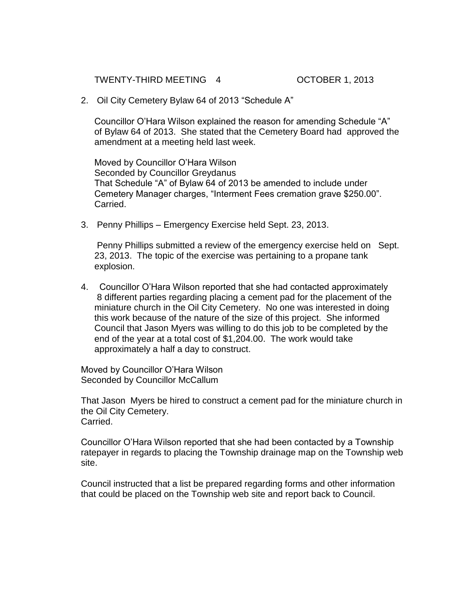TWENTY-THIRD MEETING 4 OCTOBER 1, 2013

2. Oil City Cemetery Bylaw 64 of 2013 "Schedule A"

Councillor O'Hara Wilson explained the reason for amending Schedule "A" of Bylaw 64 of 2013. She stated that the Cemetery Board had approved the amendment at a meeting held last week.

Moved by Councillor O'Hara Wilson Seconded by Councillor Greydanus That Schedule "A" of Bylaw 64 of 2013 be amended to include under Cemetery Manager charges, "Interment Fees cremation grave \$250.00". Carried.

3. Penny Phillips – Emergency Exercise held Sept. 23, 2013.

Penny Phillips submitted a review of the emergency exercise held on Sept. 23, 2013. The topic of the exercise was pertaining to a propane tank explosion.

4. Councillor O'Hara Wilson reported that she had contacted approximately 8 different parties regarding placing a cement pad for the placement of the miniature church in the Oil City Cemetery. No one was interested in doing this work because of the nature of the size of this project. She informed Council that Jason Myers was willing to do this job to be completed by the end of the year at a total cost of \$1,204.00. The work would take approximately a half a day to construct.

Moved by Councillor O'Hara Wilson Seconded by Councillor McCallum

That Jason Myers be hired to construct a cement pad for the miniature church in the Oil City Cemetery. Carried.

Councillor O'Hara Wilson reported that she had been contacted by a Township ratepayer in regards to placing the Township drainage map on the Township web site.

Council instructed that a list be prepared regarding forms and other information that could be placed on the Township web site and report back to Council.